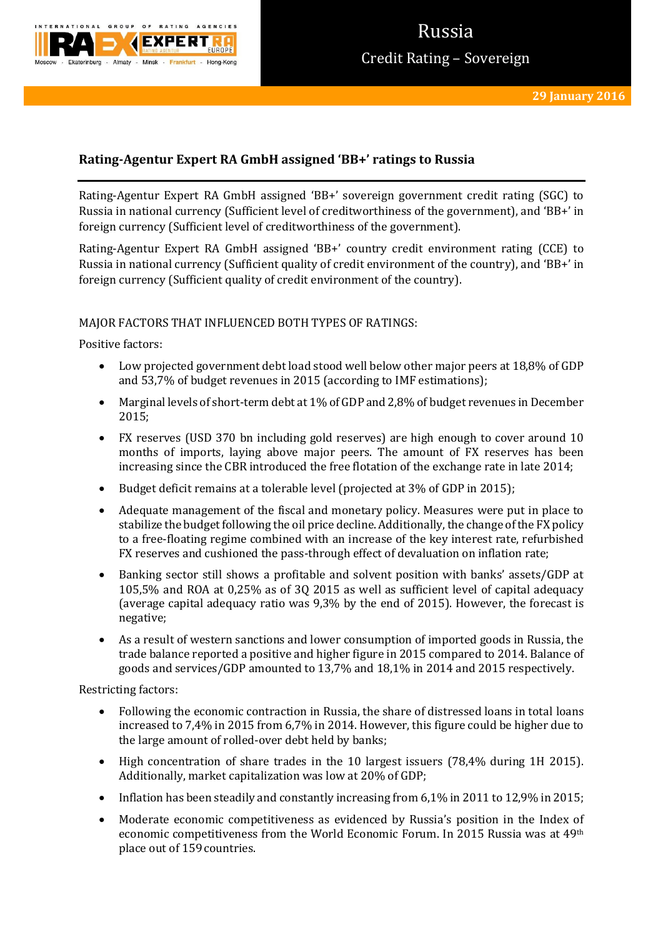

# Russia Credit Rating – Sovereign

# **Rating-Agentur Expert RA GmbH assigned 'BB+' ratings to Russia**

Rating-Agentur Expert RA GmbH assigned 'BB+' sovereign government credit rating (SGC) to Russia in national currency (Sufficient level of creditworthiness of the government), and 'BB+' in foreign currency (Sufficient level of creditworthiness of the government).

Rating-Agentur Expert RA GmbH assigned 'BB+' country credit environment rating (CCE) to Russia in national currency (Sufficient quality of credit environment of the country), and 'BB+' in foreign currency (Sufficient quality of credit environment of the country).

## MAJOR FACTORS THAT INFLUENCED BOTH TYPES OF RATINGS:

Positive factors:

- Low projected government debt load stood well below other major peers at 18,8% of GDP and 53,7% of budget revenues in 2015 (according to IMF estimations);
- Marginal levels of short-term debt at 1% of GDP and 2,8% of budget revenues in December 2015;
- FX reserves (USD 370 bn including gold reserves) are high enough to cover around 10 months of imports, laying above major peers. The amount of FX reserves has been increasing since the CBR introduced the free flotation of the exchange rate in late 2014;
- Budget deficit remains at a tolerable level (projected at 3% of GDP in 2015);
- Adequate management of the fiscal and monetary policy. Measures were put in place to stabilize the budget following the oil price decline. Additionally, the change of the FX policy to a free-floating regime combined with an increase of the key interest rate, refurbished FX reserves and cushioned the pass-through effect of devaluation on inflation rate;
- Banking sector still shows a profitable and solvent position with banks' assets/GDP at 105,5% and ROA at 0,25% as of 3Q 2015 as well as sufficient level of capital adequacy (average capital adequacy ratio was 9,3% by the end of 2015). However, the forecast is negative;
- As a result of western sanctions and lower consumption of imported goods in Russia, the trade balance reported a positive and higher figure in 2015 compared to 2014. Balance of goods and services/GDP amounted to 13,7% and 18,1% in 2014 and 2015 respectively.

Restricting factors:

- Following the economic contraction in Russia, the share of distressed loans in total loans increased to 7,4% in 2015 from 6,7% in 2014. However, this figure could be higher due to the large amount of rolled-over debt held by banks;
- High concentration of share trades in the 10 largest issuers (78,4% during 1H 2015). Additionally, market capitalization was low at 20% of GDP;
- Inflation has been steadily and constantly increasing from 6,1% in 2011 to 12,9% in 2015;
- Moderate economic competitiveness as evidenced by Russia's position in the Index of economic competitiveness from the World Economic Forum. In 2015 Russia was at 49th place out of 159 countries.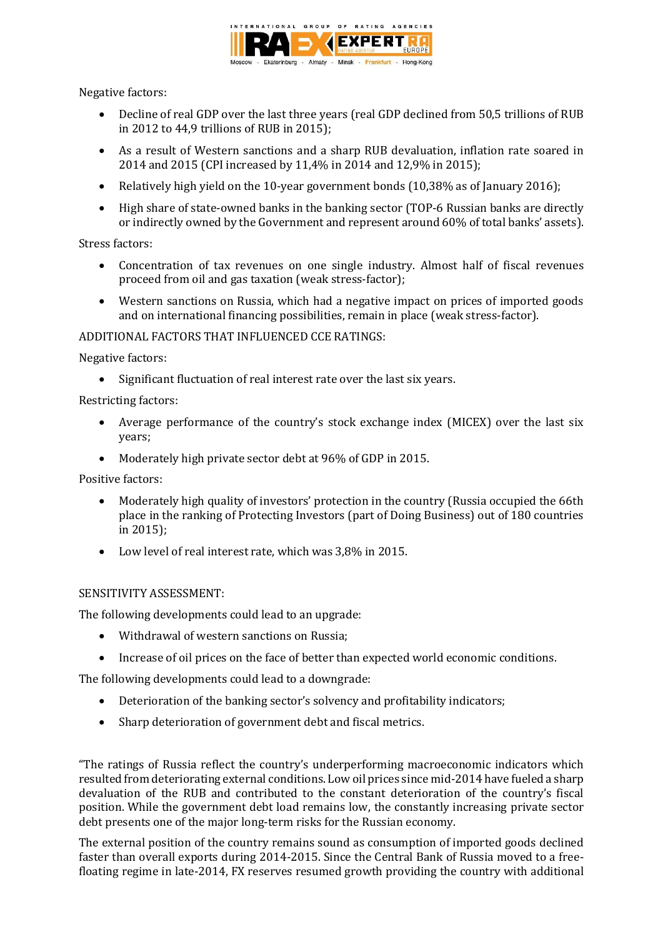

Negative factors:

- Decline of real GDP over the last three years (real GDP declined from 50,5 trillions of RUB in 2012 to 44,9 trillions of RUB in 2015);
- As a result of Western sanctions and a sharp RUB devaluation, inflation rate soared in 2014 and 2015 (CPI increased by 11,4% in 2014 and 12,9% in 2015);
- Relatively high yield on the 10-year government bonds (10,38% as of January 2016);
- High share of state-owned banks in the banking sector (TOP-6 Russian banks are directly or indirectly owned by the Government and represent around 60% of total banks' assets).

Stress factors:

- Concentration of tax revenues on one single industry. Almost half of fiscal revenues proceed from oil and gas taxation (weak stress-factor);
- Western sanctions on Russia, which had a negative impact on prices of imported goods and on international financing possibilities, remain in place (weak stress-factor).

## ADDITIONAL FACTORS THAT INFLUENCED CCE RATINGS:

Negative factors:

• Significant fluctuation of real interest rate over the last six years.

Restricting factors:

- Average performance of the country's stock exchange index (MICEX) over the last six years;
- Moderately high private sector debt at 96% of GDP in 2015.

Positive factors:

- Moderately high quality of investors' protection in the country (Russia occupied the 66th place in the ranking of Protecting Investors (part of Doing Business) out of 180 countries in 2015);
- Low level of real interest rate, which was 3,8% in 2015.

# SENSITIVITY ASSESSMENT:

The following developments could lead to an upgrade:

- Withdrawal of western sanctions on Russia:
- Increase of oil prices on the face of better than expected world economic conditions.

The following developments could lead to a downgrade:

- Deterioration of the banking sector's solvency and profitability indicators;
- Sharp deterioration of government debt and fiscal metrics.

"The ratings of Russia reflect the country's underperforming macroeconomic indicators which resulted from deteriorating external conditions. Low oil prices since mid-2014 have fueled a sharp devaluation of the RUB and contributed to the constant deterioration of the country's fiscal position. While the government debt load remains low, the constantly increasing private sector debt presents one of the major long-term risks for the Russian economy.

The external position of the country remains sound as consumption of imported goods declined faster than overall exports during 2014-2015. Since the Central Bank of Russia moved to a freefloating regime in late-2014, FX reserves resumed growth providing the country with additional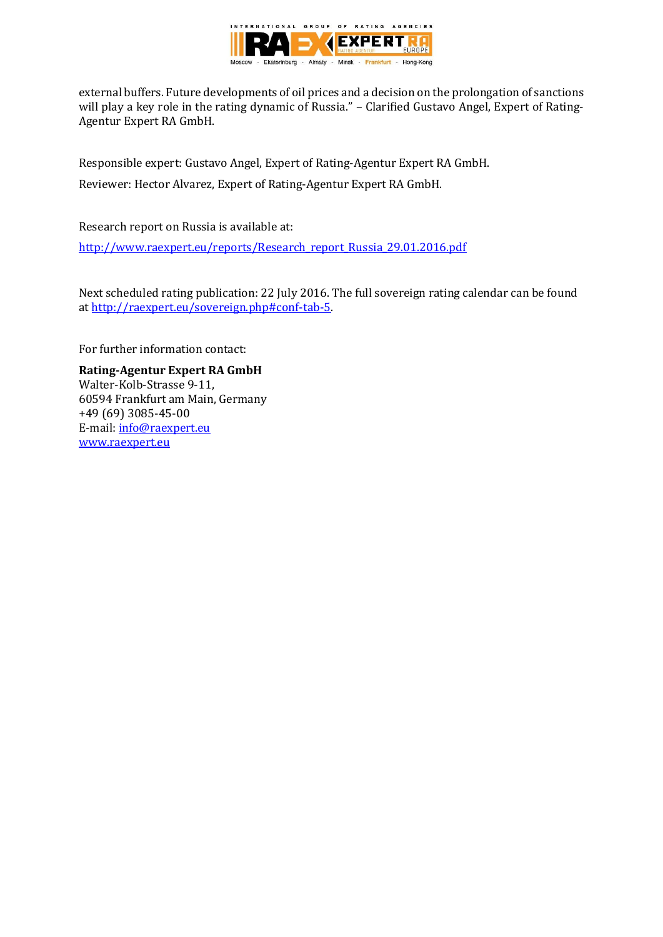

external buffers. Future developments of oil prices and a decision on the prolongation of sanctions will play a key role in the rating dynamic of Russia." – Clarified Gustavo Angel, Expert of Rating-Agentur Expert RA GmbH.

Responsible expert: Gustavo Angel, Expert of Rating-Agentur Expert RA GmbH. Reviewer: Hector Alvarez, Expert of Rating-Agentur Expert RA GmbH.

Research report on Russia is available at:

[http://www.raexpert.eu/reports/Research\\_report\\_Russia\\_29.01.2016.pdf](http://www.raexpert.eu/reports/Research_report_Russia_29.01.2016.pdf)

Next scheduled rating publication: 22 July 2016. The full sovereign rating calendar can be found at [http://raexpert.eu/sovereign.php#conf-tab-5.](http://raexpert.eu/sovereign.php#conf-tab-5)

For further information contact:

**Rating-Agentur Expert RA GmbH** Walter-Kolb-Strasse 9-11, 60594 Frankfurt am Main, Germany +49 (69) 3085-45-00 E-mail[: info@raexpert.eu](mailto:info@raexpert.eu) [www.raexpert.eu](http://raexpert.eu/)